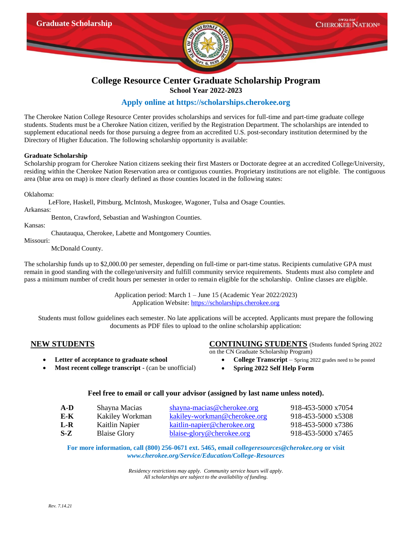

## **College Resource Center Graduate Scholarship Program School Year 2022-2023**

# **Apply online at [https://scholarships.cherokee.org](https://scholarships.cherokee.org/)**

The Cherokee Nation College Resource Center provides scholarships and services for full-time and part-time graduate college students. Students must be a Cherokee Nation citizen, verified by the Registration Department. The scholarships are intended to supplement educational needs for those pursuing a degree from an accredited U.S. post-secondary institution determined by the Directory of Higher Education. The following scholarship opportunity is available:

### **Graduate Scholarship**

Scholarship program for Cherokee Nation citizens seeking their first Masters or Doctorate degree at an accredited College/University, residing within the Cherokee Nation Reservation area or contiguous counties. Proprietary institutions are not eligible. The contiguous area (blue area on map) is more clearly defined as those counties located in the following states:

Oklahoma:

LeFlore, Haskell, Pittsburg, McIntosh, Muskogee, Wagoner, Tulsa and Osage Counties.

Arkansas:

Benton, Crawford, Sebastian and Washington Counties.

Kansas:

Chautauqua, Cherokee, Labette and Montgomery Counties.

Missouri:

McDonald County.

The scholarship funds up to \$2,000.00 per semester, depending on full-time or part-time status. Recipients cumulative GPA must remain in good standing with the college/university and fulfill community service requirements. Students must also complete and pass a minimum number of credit hours per semester in order to remain eligible for the scholarship. Online classes are eligible.

> Application period: March 1 – June 15 (Academic Year 2022/2023) Application Website: [https://scholarships.cherokee.org](https://scholarships.cherokee.org/)

Students must follow guidelines each semester. No late applications will be accepted. Applicants must prepare the following documents as PDF files to upload to the online scholarship application:

- 
- **Most recent college transcript -** (can be unofficial) **•** Spring 2022 Self Help Form

# **NEW STUDENTS CONTINUING STUDENTS** (Students funded Spring 2022

on the CN Graduate Scholarship Program)

- **Letter of acceptance to graduate school •** College Transcript Spring 2022 grades need to be posted
	-

## **Feel free to email or call your advisor (assigned by last name unless noted).**

| $A-D$ | Shayna Macias       | shayna-macias@cherokee.org   | 918-453-5000 x7054 |
|-------|---------------------|------------------------------|--------------------|
| E-K   | Kakiley Workman     | kakiley-workman@cherokee.org | 918-453-5000 x5308 |
| L-R   | Kaitlin Napier      | kaitlin-napier@cherokee.org  | 918-453-5000 x7386 |
| S-Z   | <b>Blaise Glory</b> | blaise-glory@cherokee.org    | 918-453-5000 x7465 |

**For more information, call (800) 256-0671 ext. 5465, email** *[collegeresources@cherokee.org](mailto:collegeresources@cherokee.org)* **or visit** *www.cherokee.org/Service/Education/College-Resources*

> *Residency restrictions may apply. Community service hours will apply. All scholarships are subject to the availability of funding.*